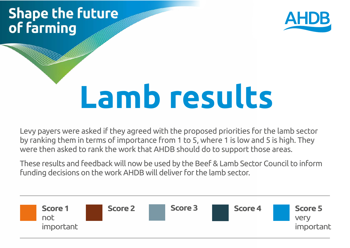## **Shape the future** of farming



# **Lamb results**

Levy payers were asked if they agreed with the proposed priorities for the lamb sector by ranking them in terms of importance from 1 to 5, where 1 is low and 5 is high. They were then asked to rank the work that AHDB should do to support those areas.

These results and feedback will now be used by the Beef & Lamb Sector Council to inform funding decisions on the work AHDB will deliver for the lamb sector.

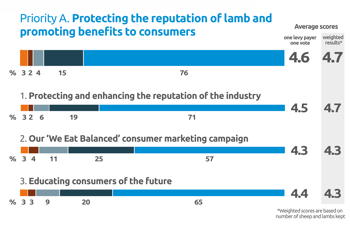

number of sheep and lambs kept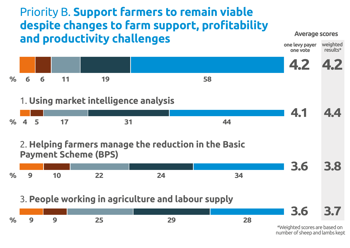## Priority B. **Support farmers to remain viable despite changes to farm support, profitability and productivity challenges**

#### **Average scores**



number of sheep and lambs kept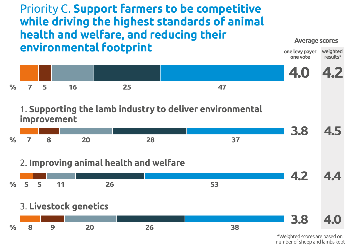### Priority C. **Support farmers to be competitive while driving the highest standards of animal health and welfare, and reducing their environmental footprint**

#### **Average scores**



<sup>\*</sup>Weighted scores are based on number of sheep and lambs kept